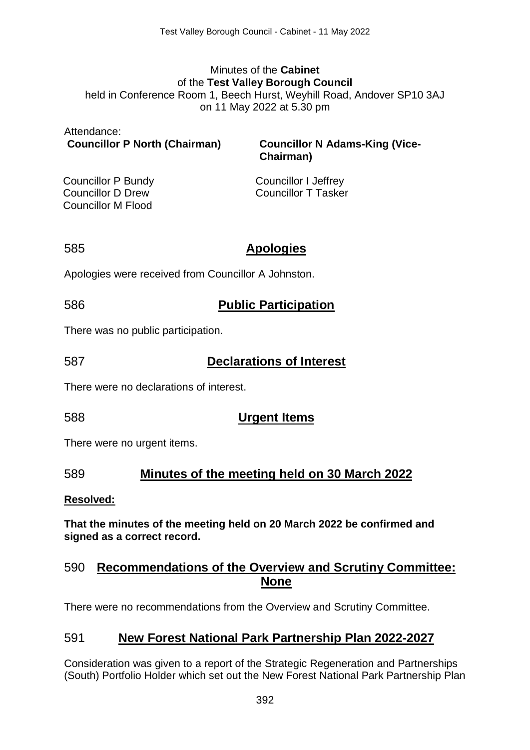#### Minutes of the **Cabinet** of the **Test Valley Borough Council** held in Conference Room 1, Beech Hurst, Weyhill Road, Andover SP10 3AJ on 11 May 2022 at 5.30 pm

| Attendance:<br><b>Councillor P North (Chairman)</b> | <b>Councillor N Adams-King (Vice-</b><br>Chairman) |
|-----------------------------------------------------|----------------------------------------------------|
| Councillor P Bundy                                  | <b>Councillor I Jeffrey</b>                        |
| <b>Councillor D Drew</b>                            | <b>Councillor T Tasker</b>                         |
| <b>Councillor M Flood</b>                           |                                                    |

### 585 **Apologies**

Apologies were received from Councillor A Johnston.

# 586 **Public Participation**

There was no public participation.

# 587 **Declarations of Interest**

There were no declarations of interest.

# 588 **Urgent Items**

There were no urgent items.

### 589 **Minutes of the meeting held on 30 March 2022**

### **Resolved:**

**That the minutes of the meeting held on 20 March 2022 be confirmed and signed as a correct record.** 

# 590 **Recommendations of the Overview and Scrutiny Committee: None**

There were no recommendations from the Overview and Scrutiny Committee.

# 591 **New Forest National Park Partnership Plan 2022-2027**

Consideration was given to a report of the Strategic Regeneration and Partnerships (South) Portfolio Holder which set out the New Forest National Park Partnership Plan